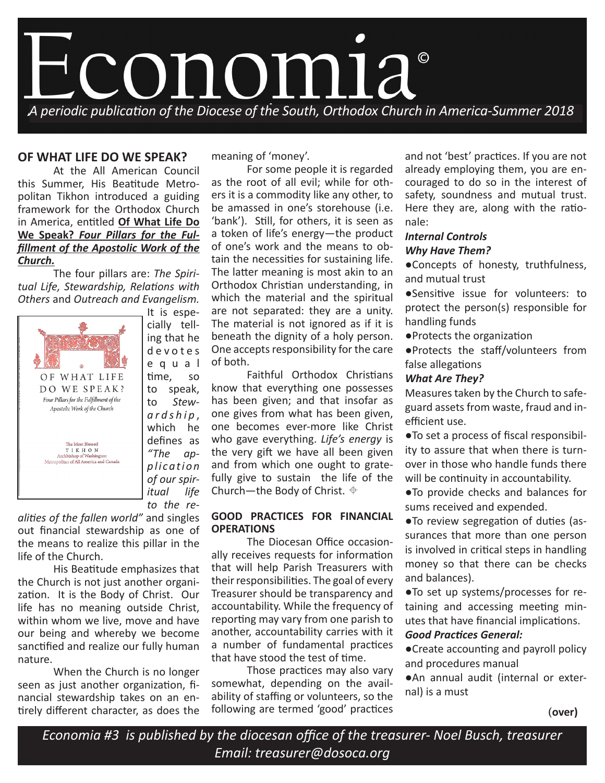

# **OF WHAT LIFE DO WE SPEAK?**

At the All American Council this Summer, His Beatitude Metropolitan Tikhon introduced a guiding framework for the Orthodox Church in America, entitled **Of What Life Do We Speak?** *Four Pillars for the Fulfillment of the Apostolic Work of the Church.*

The four pillars are: *The Spiritual Life, Stewardship, Relations with Others* and *Outreach and Evangelism.* 



cially telling that he d e v o t e s e q u a l time, so to speak, to *Stewardship* , which he defines as *"The app l i ca t i o n of our spiritual life to the re-*

It is espe-

*alities of the fallen world"* and singles out financial stewardship as one of the means to realize this pillar in the life of the Church.

His Beatitude emphasizes that the Church is not just another organization. It is the Body of Christ. Our life has no meaning outside Christ, within whom we live, move and have our being and whereby we become sanctified and realize our fully human nature.

When the Church is no longer seen as just another organization, financial stewardship takes on an entirely different character, as does the meaning of 'money'.

For some people it is regarded as the root of all evil; while for others it is a commodity like any other, to be amassed in one's storehouse (i.e. 'bank'). Still, for others, it is seen as a token of life's energy—the product of one's work and the means to obtain the necessities for sustaining life. The latter meaning is most akin to an Orthodox Christian understanding, in which the material and the spiritual are not separated: they are a unity. The material is not ignored as if it is beneath the dignity of a holy person. One accepts responsibility for the care of both.

Faithful Orthodox Christians know that everything one possesses has been given; and that insofar as one gives from what has been given, one becomes ever-more like Christ who gave everything. *Life's energy* is the very gift we have all been given and from which one ought to gratefully give to sustain the life of the Church—the Body of Christ.  $\triangleq$ 

### **GOOD PRACTICES FOR FINANCIAL OPERATIONS**

The Diocesan Office occasionally receives requests for information that will help Parish Treasurers with their responsibilities. The goal of every Treasurer should be transparency and accountability. While the frequency of reporting may vary from one parish to another, accountability carries with it a number of fundamental practices that have stood the test of time.

Those practices may also vary somewhat, depending on the availability of staffing or volunteers, so the following are termed 'good' practices and not 'best' practices. If you are not already employing them, you are encouraged to do so in the interest of safety, soundness and mutual trust. Here they are, along with the rationale:

## *Internal Controls Why Have Them?*

●Concepts of honesty, truthfulness, and mutual trust

●Sensitive issue for volunteers: to protect the person(s) responsible for handling funds

●Protects the organization

●Protects the staff/volunteers from false allegations

### *What Are They?*

Measures taken by the Church to safeguard assets from waste, fraud and inefficient use.

●To set a process of fiscal responsibility to assure that when there is turnover in those who handle funds there will be continuity in accountability.

●To provide checks and balances for sums received and expended.

●To review segregation of duties (assurances that more than one person is involved in critical steps in handling money so that there can be checks and balances).

●To set up systems/processes for retaining and accessing meeting minutes that have financial implications. *Good Practices General:*

●Create accounting and payroll policy and procedures manual

●An annual audit (internal or external) is a must

*Economia #3 is published by the diocesan office of the treasurer- Noel Busch, treasurer Email: treasurer@dosoca.org*